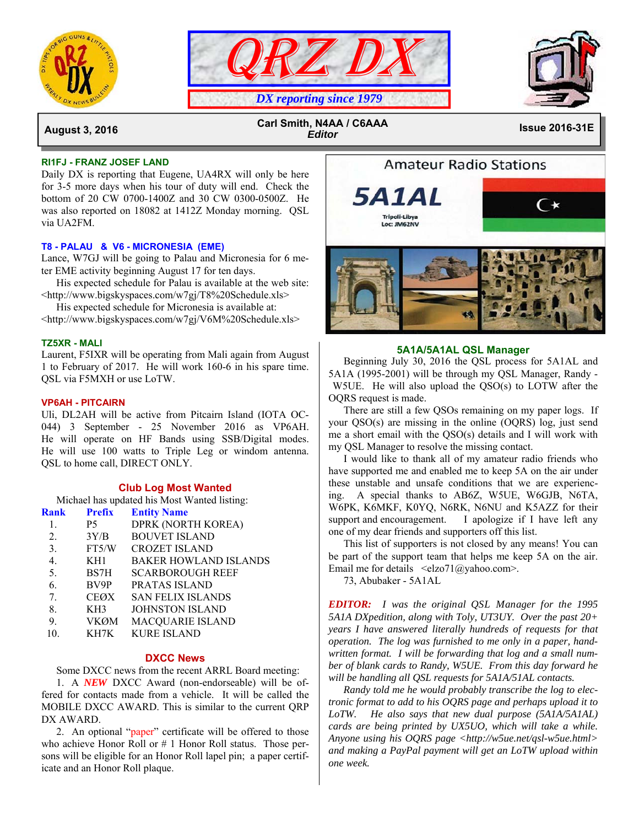





 **August 3, 2016 Issue 2016-31E Carl Smith, N4AA / C6AAA**  *Editor*

## **RI1FJ - FRANZ JOSEF LAND**

Daily DX is reporting that Eugene, UA4RX will only be here for 3-5 more days when his tour of duty will end. Check the bottom of 20 CW 0700-1400Z and 30 CW 0300-0500Z. He was also reported on 18082 at 1412Z Monday morning. QSL via UA2FM.

## **T8 - PALAU & V6 - MICRONESIA (EME)**

Lance, W7GJ will be going to Palau and Micronesia for 6 meter EME activity beginning August 17 for ten days.

 His expected schedule for Palau is available at the web site: <http://www.bigskyspaces.com/w7gj/T8%20Schedule.xls>

His expected schedule for Micronesia is available at:

<http://www.bigskyspaces.com/w7gj/V6M%20Schedule.xls>

### **TZ5XR - MALI**

Laurent, F5IXR will be operating from Mali again from August 1 to February of 2017. He will work 160-6 in his spare time. QSL via F5MXH or use LoTW.

## **VP6AH - PITCAIRN**

Uli, DL2AH will be active from Pitcairn Island (IOTA OC-044) 3 September - 25 November 2016 as VP6AH. He will operate on HF Bands using SSB/Digital modes. He will use 100 watts to Triple Leg or windom antenna. QSL to home call, DIRECT ONLY.

## **Club Log Most Wanted**

Michael has updated his Most Wanted listing:

|                  | <b>Rank Prefix</b> | <b>Entity Name</b>           |
|------------------|--------------------|------------------------------|
| -1.              | <b>P5</b>          | DPRK (NORTH KOREA)           |
| 2.               | 3Y/B               | <b>BOUVET ISLAND</b>         |
| 3.               | FT5/W              | <b>CROZET ISLAND</b>         |
| $\overline{4}$ . | KH1                | <b>BAKER HOWLAND ISLANDS</b> |
| 5.               | BS7H               | <b>SCARBOROUGH REEF</b>      |
| 6.               | BV9P               | <b>PRATAS ISLAND</b>         |
| 7.               | CEØX               | <b>SAN FELIX ISLANDS</b>     |
| 8.               | KH3                | <b>JOHNSTON ISLAND</b>       |
| 9.               | <b>VKØM</b>        | <b>MACQUARIE ISLAND</b>      |
| 10.              | KH7K               | <b>KURE ISLAND</b>           |

#### **DXCC News**

Some DXCC news from the recent ARRL Board meeting:

 1. A *NEW* DXCC Award (non-endorseable) will be offered for contacts made from a vehicle. It will be called the MOBILE DXCC AWARD. This is similar to the current QRP DX AWARD.

 2. An optional "paper" certificate will be offered to those who achieve Honor Roll or # 1 Honor Roll status. Those persons will be eligible for an Honor Roll lapel pin; a paper certificate and an Honor Roll plaque.



**Amateur Radio Stations** 

#### **5A1A/5A1AL QSL Manager**

 Beginning July 30, 2016 the QSL process for 5A1AL and 5A1A (1995-2001) will be through my QSL Manager, Randy - W5UE. He will also upload the QSO(s) to LOTW after the OQRS request is made.

 There are still a few QSOs remaining on my paper logs. If your QSO(s) are missing in the online (OQRS) log, just send me a short email with the QSO(s) details and I will work with my QSL Manager to resolve the missing contact.

 I would like to thank all of my amateur radio friends who have supported me and enabled me to keep 5A on the air under these unstable and unsafe conditions that we are experiencing. A special thanks to AB6Z, W5UE, W6GJB, N6TA, W6PK, K6MKF, K0YQ, N6RK, N6NU and K5AZZ for their support and encouragement. I apologize if I have left any one of my dear friends and supporters off this list.

 This list of supporters is not closed by any means! You can be part of the support team that helps me keep 5A on the air. Email me for details  $\leq$ elzo71@yahoo.com>.

73, Abubaker - 5A1AL

*EDITOR: I was the original QSL Manager for the 1995 5A1A DXpedition, along with Toly, UT3UY. Over the past 20+ years I have answered literally hundreds of requests for that operation. The log was furnished to me only in a paper, handwritten format. I will be forwarding that log and a small number of blank cards to Randy, W5UE. From this day forward he will be handling all QSL requests for 5A1A/51AL contacts.* 

 *Randy told me he would probably transcribe the log to electronic format to add to his OQRS page and perhaps upload it to LoTW. He also says that new dual purpose (5A1A/5A1AL) cards are being printed by UX5UO, which will take a while. Anyone using his OQRS page <http://w5ue.net/qsl-w5ue.html> and making a PayPal payment will get an LoTW upload within one week.*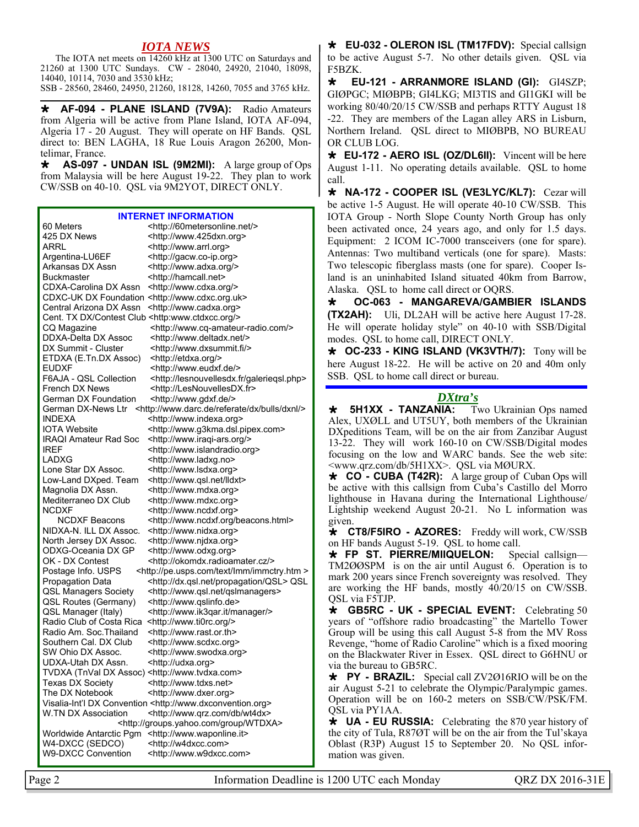## *IOTA NEWS*

 The IOTA net meets on 14260 kHz at 1300 UTC on Saturdays and 21260 at 1300 UTC Sundays. CW - 28040, 24920, 21040, 18098, 14040, 10114, 7030 and 3530 kHz;

SSB - 28560, 28460, 24950, 21260, 18128, 14260, 7055 and 3765 kHz.

 **AF-094 - PLANE ISLAND (7V9A):** Radio Amateurs from Algeria will be active from Plane Island, IOTA AF-094, Algeria 17 - 20 August. They will operate on HF Bands. QSL direct to: BEN LAGHA, 18 Rue Louis Aragon 26200, Montelimar, France.

 **AS-097 - UNDAN ISL (9M2MI):** A large group of Ops from Malaysia will be here August 19-22. They plan to work CW/SSB on 40-10. QSL via 9M2YOT, DIRECT ONLY.

#### **INTERNET INFORMATION**

60 Meters <http://60metersonline.net/> 425 DX News <http://www.425dxn.org> ARRL <http://www.arrl.org><br>Argentina-LU6EF <http://gacw.co-ip.org <http://gacw.co-ip.org> Arkansas DX Assn <http://www.adxa.org/> Buckmaster <http://hamcall.net> CDXA-Carolina DX Assn <http://www.cdxa.org/> CDXC-UK DX Foundation <http://www.cdxc.org.uk> Central Arizona DX Assn <http://www.cadxa.org> Cent. TX DX/Contest Club <http:www.ctdxcc.org/> CQ Magazine <http://www.cq-amateur-radio.com/> DDXA-Delta DX Assoc <http://www.deltadx.net/> DX Summit - Cluster <http://www.dxsummit.fi/> ETDXA (E.Tn.DX Assoc) <http://etdxa.org/> EUDXF <http://www.eudxf.de/><br>F6AJA - QSL Collection <http://lesnouvellesdx.f <http://lesnouvellesdx.fr/galeriegsl.php> French DX News <http://LesNouvellesDX.fr> German DX Foundation <http://www.gdxf.de/> German DX-News Ltr <http://www.darc.de/referate/dx/bulls/dxnl/> INDEXA <http://www.indexa.org> IOTA Website <http://www.g3kma.dsl.pipex.com><br>IRAQI Amateur Rad Soc <http://www.iraqi-ars.org/> <http://www.iraqi-ars.org/> IREF <http://www.islandradio.org> LADXG <http://www.ladxg.no> Lone Star DX Assoc. <http://www.lsdxa.org> Low-Land DXped. Team <http://www.qsl.net/lldxt> Magnolia DX Assn. <http://www.mdxa.org> Mediterraneo DX Club <http://www.mdxc.org> NCDXF <http://www.ncdxf.org> NCDXF Beacons <http://www.ncdxf.org/beacons.html> NIDXA-N. ILL DX Assoc. <http://www.nidxa.org> North Jersey DX Assoc. <http://www.njdxa.org> ODXG-Oceania DX GP <http://www.odxg.org> OK - DX Contest <http://okomdx.radioamater.cz/> Postage Info. USPS <http://pe.usps.com/text/Imm/immctry.htm > Propagation Data <http://dx.qsl.net/propagation/QSL> QSL QSL Managers Society <http://www.qsl.net/qslmanagers><br>QSL Routes (Germany) <http://www.gslinfo.de> QSL Routes (Germany) QSL Manager (Italy) <http://www.ik3gar.it/manager/> Radio Club of Costa Rica <http://www.ti0rc.org/> Radio Am. Soc.Thailand <http://www.rast.or.th> Southern Cal. DX Club <http://www.scdxc.org> SW Ohio DX Assoc. <http://www.swodxa.org> UDXA-Utah DX Assn. <http://udxa.org> TVDXA (TnVal DX Assoc) <http://www.tvdxa.com> Texas DX Society <http://www.tdxs.net> The DX Notebook <http://www.dxer.org> Visalia-Int'l DX Convention <http://www.dxconvention.org> W.TN DX Association <http://www.qrz.com/db/wt4dx> <http://groups.yahoo.com/group/WTDXA> Worldwide Antarctic Pgm <http://www.waponline.it> W4-DXCC (SEDCO) <http://w4dxcc.com> W9-DXCC Convention <http://www.w9dxcc.com>

 **EU-032 - OLERON ISL (TM17FDV):** Special callsign to be active August 5-7. No other details given. QSL via F5BZK.

 **EU-121 - ARRANMORE ISLAND (GI):** GI4SZP; GIØPGC; MIØBPB; GI4LKG; MI3TIS and GI1GKI will be working 80/40/20/15 CW/SSB and perhaps RTTY August 18 -22. They are members of the Lagan alley ARS in Lisburn, Northern Ireland. QSL direct to MIØBPB, NO BUREAU OR CLUB LOG.

 **EU-172 - AERO ISL (OZ/DL6II):** Vincent will be here August 1-11. No operating details available. QSL to home call.

 **NA-172 - COOPER ISL (VE3LYC/KL7):** Cezar will be active 1-5 August. He will operate 40-10 CW/SSB. This IOTA Group - North Slope County North Group has only been activated once, 24 years ago, and only for 1.5 days. Equipment: 2 ICOM IC-7000 transceivers (one for spare). Antennas: Two multiband verticals (one for spare). Masts: Two telescopic fiberglass masts (one for spare). Cooper Island is an uninhabited Island situated 40km from Barrow, Alaska. QSL to home call direct or OQRS.

 **OC-063 - MANGAREVA/GAMBIER ISLANDS (TX2AH):** Uli, DL2AH will be active here August 17-28. He will operate holiday style" on 40-10 with SSB/Digital modes. QSL to home call, DIRECT ONLY.

 **OC-233 - KING ISLAND (VK3VTH/7):** Tony will be here August 18-22. He will be active on 20 and 40m only SSB. QSL to home call direct or bureau.

## *DXtra's*

**\*** 5H1XX - TANZANIA: Two Ukrainian Ops named Alex, UXØLL and UT5UY, both members of the Ukrainian DXpeditions Team, will be on the air from Zanzibar August 13-22. They will work 160-10 on CW/SSB/Digital modes focusing on the low and WARC bands. See the web site: <www.qrz.com/db/5H1XX>. QSL via MØURX.

 **CO - CUBA (T42R):** A large group of Cuban Ops will be active with this callsign from Cuba's Castillo del Morro lighthouse in Havana during the International Lighthouse/ Lightship weekend August 20-21. No L information was given.

 **CT8/F5IRO - AZORES:** Freddy will work, CW/SSB on HF bands August 5-19. QSL to home call.

 **FP ST. PIERRE/MIIQUELON:** Special callsign— TM2ØØSPM is on the air until August 6. Operation is to mark 200 years since French sovereignty was resolved. They are working the HF bands, mostly 40/20/15 on CW/SSB. QSL via F5TJP.

 **GB5RC - UK - SPECIAL EVENT:** Celebrating 50 years of "offshore radio broadcasting" the Martello Tower Group will be using this call August 5-8 from the MV Ross Revenge, "home of Radio Caroline" which is a fixed mooring on the Blackwater River in Essex. QSL direct to G6HNU or via the bureau to GB5RC.

 **PY - BRAZIL:** Special call ZV2Ø16RIO will be on the air August 5-21 to celebrate the Olympic/Paralympic games. Operation will be on 160-2 meters on SSB/CW/PSK/FM. QSL via PY1AA.

**\*** UA - EU RUSSIA: Celebrating the 870 year history of the city of Tula, R87ØT will be on the air from the Tul'skaya Oblast (R3P) August 15 to September 20. No QSL information was given.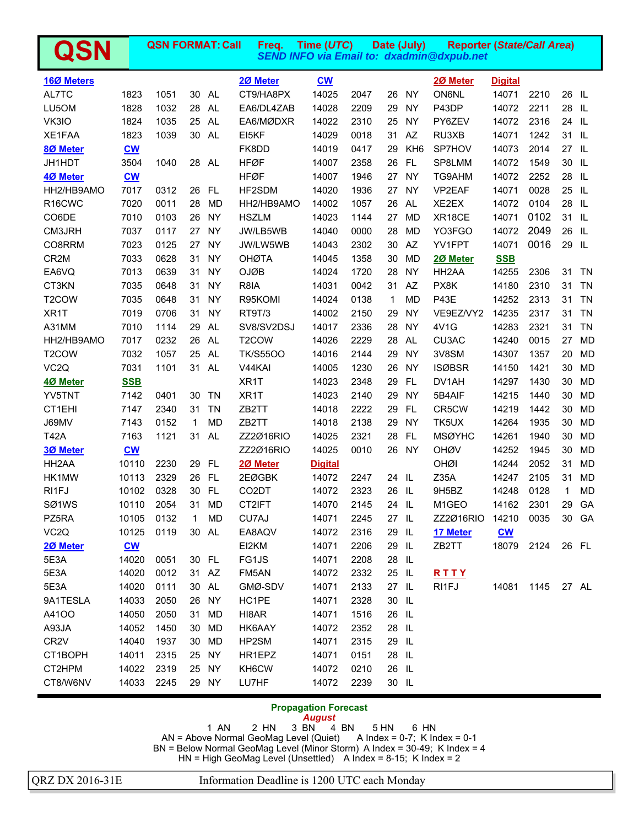| QSN                 |            | <b>QSN FORMAT: Call</b> |              |           | Freq.              | Time (UTC)                                     |      |              | Date (July)     | <b>Reporter (State/Call Area)</b><br><b>SEND INFO via Email to: dxadmin@dxpub.net</b> |                           |      |              |           |
|---------------------|------------|-------------------------|--------------|-----------|--------------------|------------------------------------------------|------|--------------|-----------------|---------------------------------------------------------------------------------------|---------------------------|------|--------------|-----------|
| 160 Meters          |            |                         |              |           | 20 Meter           | $\underline{\mathbf{C}}\underline{\mathbf{W}}$ |      |              |                 | 20 Meter                                                                              | <b>Digital</b>            |      |              |           |
| AL7TC               | 1823       | 1051                    | 30           | <b>AL</b> | CT9/HA8PX          | 14025                                          | 2047 | 26           | <b>NY</b>       | <b>ON6NL</b>                                                                          | 14071                     | 2210 | 26 IL        |           |
| LU5OM               | 1828       | 1032                    | 28           | AL.       | EA6/DL4ZAB         | 14028                                          | 2209 | 29           | <b>NY</b>       | P43DP                                                                                 | 14072                     | 2211 | 28           | -IL.      |
| VK3IO               | 1824       | 1035                    |              | 25 AL     | EA6/MØDXR          | 14022                                          | 2310 | 25           | <b>NY</b>       | PY6ZEV                                                                                | 14072                     | 2316 | 24 IL        |           |
| XE1FAA              | 1823       | 1039                    |              | 30 AL     | EI5KF              | 14029                                          | 0018 | 31           | AZ              | RU3XB                                                                                 | 14071                     | 1242 | 31 IL        |           |
| 80 Meter            | <b>CW</b>  |                         |              |           | FK8DD              | 14019                                          | 0417 | 29           | KH <sub>6</sub> | SP7HOV                                                                                | 14073                     | 2014 | 27 IL        |           |
| JH1HDT              | 3504       | 1040                    | 28           | AL.       | <b>HFØF</b>        | 14007                                          | 2358 | 26           | <b>FL</b>       | SP8LMM                                                                                | 14072                     | 1549 | 30 IL        |           |
| 4Ø Meter            | $CM$       |                         |              |           | <b>HFØF</b>        | 14007                                          | 1946 | 27           | <b>NY</b>       | TG9AHM                                                                                | 14072                     | 2252 | 28           | - IL      |
| HH2/HB9AMO          | 7017       | 0312                    | 26           | <b>FL</b> | HF2SDM             | 14020                                          | 1936 | 27           | <b>NY</b>       | VP2EAF                                                                                | 14071                     | 0028 | 25 IL        |           |
| R <sub>16</sub> CWC | 7020       | 0011                    | 28           | <b>MD</b> | HH2/HB9AMO         | 14002                                          | 1057 | 26           | AL.             | XE2EX                                                                                 | 14072                     | 0104 | 28           | - IL      |
| CO6DE               | 7010       | 0103                    | 26           | <b>NY</b> | <b>HSZLM</b>       | 14023                                          | 1144 | 27           | <b>MD</b>       | XR18CE                                                                                | 14071                     | 0102 | 31 IL        |           |
| CM3JRH              | 7037       | 0117                    | 27           | <b>NY</b> | JW/LB5WB           | 14040                                          | 0000 | 28           | <b>MD</b>       | YO3FGO                                                                                | 14072                     | 2049 | 26           | - IL      |
| CO8RRM              | 7023       | 0125                    | 27           | <b>NY</b> | JW/LW5WB           | 14043                                          | 2302 | 30           | AZ              | YV1FPT                                                                                | 14071                     | 0016 | 29 IL        |           |
| CR <sub>2</sub> M   | 7033       | 0628                    | 31           | <b>NY</b> | <b>OHØTA</b>       | 14045                                          | 1358 | 30           | MD              | 20 Meter                                                                              | <b>SSB</b>                |      |              |           |
| EA6VQ               | 7013       | 0639                    | 31           | <b>NY</b> | <b>OJØB</b>        | 14024                                          | 1720 | 28           | <b>NY</b>       | HH <sub>2</sub> AA                                                                    | 14255                     | 2306 | 31           | TN        |
| CT3KN               | 7035       | 0648                    | 31           | <b>NY</b> | R8IA               | 14031                                          | 0042 | 31           | AZ              | PX8K                                                                                  | 14180                     | 2310 | 31           | <b>TN</b> |
| T <sub>2</sub> COW  | 7035       | 0648                    | 31           | <b>NY</b> | R95KOMI            | 14024                                          | 0138 | $\mathbf{1}$ | <b>MD</b>       | <b>P43E</b>                                                                           | 14252                     | 2313 | 31           | <b>TN</b> |
| XR1T                | 7019       | 0706                    | 31           | <b>NY</b> | RT9T/3             | 14002                                          | 2150 | 29           | <b>NY</b>       | VE9EZ/VY2                                                                             | 14235                     | 2317 | 31           | <b>TN</b> |
| A31MM               | 7010       | 1114                    | 29           | AL.       | SV8/SV2DSJ         | 14017                                          | 2336 | 28           | <b>NY</b>       | 4V1G                                                                                  | 14283                     | 2321 | 31           | <b>TN</b> |
| HH2/HB9AMO          | 7017       | 0232                    |              | 26 AL     | T <sub>2</sub> COW | 14026                                          | 2229 | 28           | <b>AL</b>       | CU3AC                                                                                 | 14240                     | 0015 | 27           | <b>MD</b> |
| T <sub>2</sub> COW  | 7032       | 1057                    | 25           | AL.       | <b>TK/S5500</b>    | 14016                                          | 2144 | 29           | <b>NY</b>       | 3V8SM                                                                                 | 14307                     | 1357 | 20           | <b>MD</b> |
| VC <sub>2</sub> Q   | 7031       | 1101                    | 31           | AL.       | V44KAI             | 14005                                          | 1230 | 26           | <b>NY</b>       | <b>ISØBSR</b>                                                                         | 14150                     | 1421 | 30           | <b>MD</b> |
| 4Ø Meter            | <b>SSB</b> |                         |              |           | XR <sub>1</sub> T  | 14023                                          | 2348 | 29           | <b>FL</b>       | DV1AH                                                                                 | 14297                     | 1430 | 30           | <b>MD</b> |
| YV5TNT              | 7142       | 0401                    | 30           | <b>TN</b> | XR <sub>1</sub> T  | 14023                                          | 2140 | 29           | <b>NY</b>       | 5B4AIF                                                                                | 14215                     | 1440 | 30           | <b>MD</b> |
| CT1EHI              | 7147       | 2340                    | 31           | <b>TN</b> | ZB2TT              | 14018                                          | 2222 | 29           | FL              | CR5CW                                                                                 | 14219                     | 1442 | 30           | <b>MD</b> |
| J69MV               | 7143       | 0152                    | 1            | <b>MD</b> | ZB2TT              | 14018                                          | 2138 | 29           | <b>NY</b>       | TK5UX                                                                                 | 14264                     | 1935 | 30           | <b>MD</b> |
| <b>T42A</b>         | 7163       | 1121                    | 31           | <b>AL</b> | ZZ2Ø16RIO          | 14025                                          | 2321 | 28           | FL              | <b>MSØYHC</b>                                                                         | 14261                     | 1940 | 30           | <b>MD</b> |
| <b>3Ø Meter</b>     | $CM$       |                         |              |           | ZZ2Ø16RIO          | 14025                                          | 0010 | 26           | <b>NY</b>       | <b>OHØV</b>                                                                           | 14252                     | 1945 | 30           | <b>MD</b> |
| HH <sub>2</sub> AA  | 10110      | 2230                    | 29           | <b>FL</b> | 20 Meter           | <u>Digital</u>                                 |      |              |                 | OHØI                                                                                  | 14244                     | 2052 | 31           | <b>MD</b> |
| HK1MW               | 10113      | 2329                    | 26           | <b>FL</b> | 2EØGBK             | 14072                                          | 2247 | 24           | - IL            | Z35A                                                                                  | 14247                     | 2105 | 31           | <b>MD</b> |
| RI1FJ               | 10102      | 0328                    |              | 30 FL     | CO <sub>2</sub> DT | 14072                                          | 2323 | 26           | - IL            | 9H5BZ                                                                                 | 14248                     | 0128 | $\mathbf{1}$ | <b>MD</b> |
| SØ1WS               | 10110      | 2054                    |              | 31 MD     | CT2IFT             | 14070                                          | 2145 | 24 IL        |                 | M1GEO                                                                                 | 14162                     | 2301 | 29           | GA        |
| PZ5RA               | 10105      | 0132                    | $\mathbf{1}$ | MD        | CU7AJ              | 14071                                          | 2245 | 27 IL        |                 | ZZ2Ø16RIO                                                                             | 14210                     | 0035 |              | 30 GA     |
| VC <sub>2</sub> Q   | 10125      | 0119                    |              | 30 AL     | EA8AQV             | 14072                                          | 2316 | 29           | IL              | 17 Meter                                                                              | $\underline{\mathbf{cw}}$ |      |              |           |
| 20 Meter            | $CM$       |                         |              |           | EI2KM              | 14071                                          | 2206 | 29           | - IL            | ZB2TT                                                                                 | 18079                     | 2124 |              | 26 FL     |
| 5E3A                | 14020      | 0051                    |              | 30 FL     | FG1JS              | 14071                                          | 2208 | 28 IL        |                 |                                                                                       |                           |      |              |           |
| 5E3A                | 14020      | 0012                    |              | 31 AZ     | FM5AN              | 14072                                          | 2332 | 25 IL        |                 | RTTY                                                                                  |                           |      |              |           |
| 5E3A                | 14020      | 0111                    |              | 30 AL     | GMØ-SDV            | 14071                                          | 2133 | 27 IL        |                 | RI1FJ                                                                                 | 14081                     | 1145 |              | 27 AL     |
| 9A1TESLA            | 14033      | 2050                    |              | 26 NY     | HC1PE              | 14071                                          | 2328 | 30 IL        |                 |                                                                                       |                           |      |              |           |
| A4100               | 14050      | 2050                    | 31           | <b>MD</b> | HI8AR              | 14071                                          | 1516 | 26 IL        |                 |                                                                                       |                           |      |              |           |
| A93JA               | 14052      | 1450                    | 30           | <b>MD</b> | HK6AAY             | 14072                                          | 2352 | 28 IL        |                 |                                                                                       |                           |      |              |           |
| CR <sub>2</sub> V   | 14040      | 1937                    | 30           | <b>MD</b> | HP2SM              | 14071                                          | 2315 | 29 IL        |                 |                                                                                       |                           |      |              |           |
| CT1BOPH             | 14011      | 2315                    |              | 25 NY     | HR1EPZ             | 14071                                          | 0151 | 28           | - IL            |                                                                                       |                           |      |              |           |
| CT2HPM              | 14022      | 2319                    |              | 25 NY     | KH6CW              | 14072                                          | 0210 | 26 IL        |                 |                                                                                       |                           |      |              |           |
| CT8/W6NV            | 14033      | 2245                    |              | 29 NY     | LU7HF              | 14072                                          | 2239 | 30 IL        |                 |                                                                                       |                           |      |              |           |

## **Propagation Forecast**

*August*  1 AN 2 HN 3 BN 4 BN 5 HN 6 HN AN = Above Normal GeoMag Level (Quiet) A Index = 0-7; K Index = 0-1 BN = Below Normal GeoMag Level (Minor Storm) A Index = 30-49; K Index = 4 HN = High GeoMag Level (Unsettled) A Index = 8-15; K Index = 2

QRZ DX 2016-31E Information Deadline is 1200 UTC each Monday